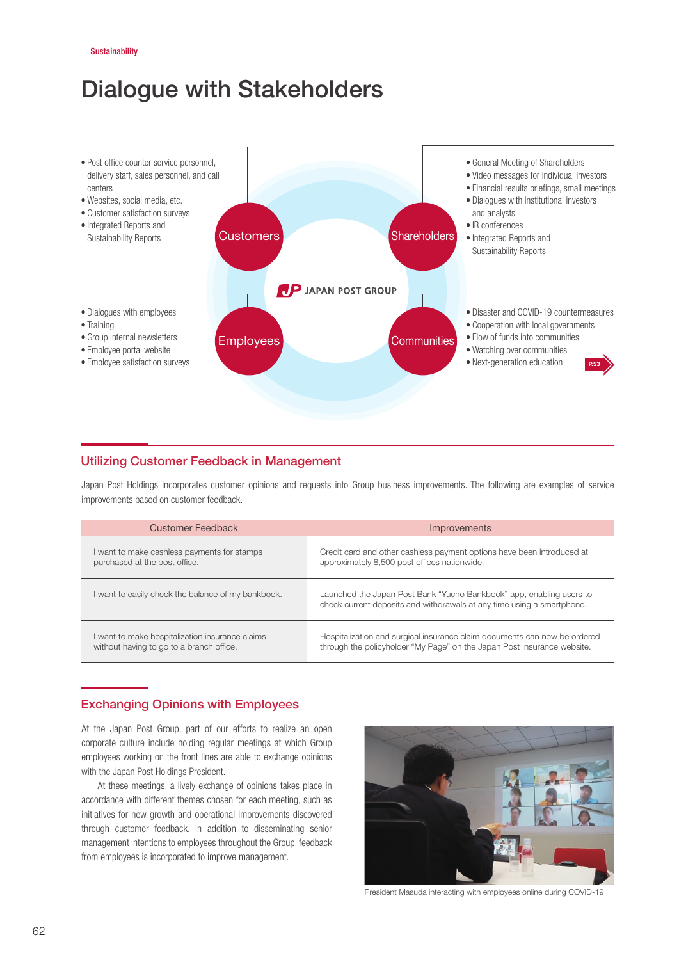# Dialogue with Stakeholders



## Utilizing Customer Feedback in Management

Japan Post Holdings incorporates customer opinions and requests into Group business improvements. The following are examples of service improvements based on customer feedback.

| <b>Customer Feedback</b>                           | <b>Improvements</b>                                                                                                                            |
|----------------------------------------------------|------------------------------------------------------------------------------------------------------------------------------------------------|
| I want to make cashless payments for stamps        | Credit card and other cashless payment options have been introduced at                                                                         |
| purchased at the post office.                      | approximately 8,500 post offices nationwide.                                                                                                   |
| I want to easily check the balance of my bankbook. | Launched the Japan Post Bank "Yucho Bankbook" app, enabling users to<br>check current deposits and withdrawals at any time using a smartphone. |
| want to make hospitalization insurance claims      | Hospitalization and surgical insurance claim documents can now be ordered                                                                      |
| without having to go to a branch office.           | through the policyholder "My Page" on the Japan Post Insurance website.                                                                        |

# Exchanging Opinions with Employees

At the Japan Post Group, part of our efforts to realize an open corporate culture include holding regular meetings at which Group employees working on the front lines are able to exchange opinions with the Japan Post Holdings President.

At these meetings, a lively exchange of opinions takes place in accordance with different themes chosen for each meeting, such as initiatives for new growth and operational improvements discovered through customer feedback. In addition to disseminating senior management intentions to employees throughout the Group, feedback from employees is incorporated to improve management.



President Masuda interacting with employees online during COVID-19